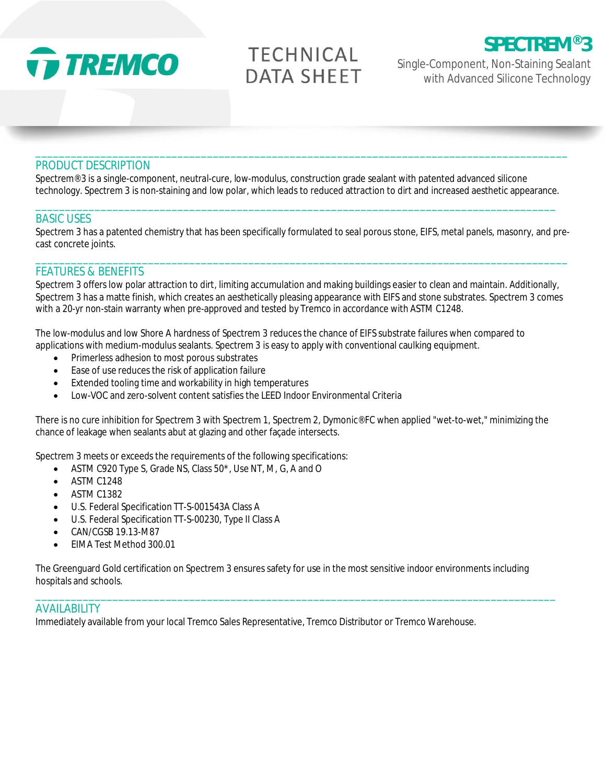

# **TECHNICAL DATA SHEET**

**SPECTREM® 3**

Single-Component, Non-Staining Sealant with Advanced Silicone Technology

## PRODUCT DESCRIPTION

Spectrem® 3 is a single-component, neutral-cure, low-modulus, construction grade sealant with patented advanced silicone technology. Spectrem 3 is non-staining and low polar, which leads to reduced attraction to dirt and increased aesthetic appearance.

\_\_\_\_\_\_\_\_\_\_\_\_\_\_\_\_\_\_\_\_\_\_\_\_\_\_\_\_\_\_\_\_\_\_\_\_\_\_\_\_\_\_\_\_\_\_\_\_\_\_\_\_\_\_\_\_\_\_\_\_\_\_\_\_\_\_\_\_\_\_\_\_\_\_\_\_\_\_\_\_\_\_\_\_\_\_\_\_

\_\_\_\_\_\_\_\_\_\_\_\_\_\_\_\_\_\_\_\_\_\_\_\_\_\_\_\_\_\_\_\_\_\_\_\_\_\_\_\_\_\_\_\_\_\_\_\_\_\_\_\_\_\_\_\_\_\_\_\_\_\_\_\_\_\_\_\_\_\_\_\_\_\_\_\_\_\_\_\_\_\_\_\_\_\_\_\_\_\_

#### BASIC USES

Spectrem 3 has a patented chemistry that has been specifically formulated to seal porous stone, EIFS, metal panels, masonry, and precast concrete joints.

\_\_\_\_\_\_\_\_\_\_\_\_\_\_\_\_\_\_\_\_\_\_\_\_\_\_\_\_\_\_\_\_\_\_\_\_\_\_\_\_\_\_\_\_\_\_\_\_\_\_\_\_\_\_\_\_\_\_\_\_\_\_\_\_\_\_\_\_\_\_\_\_\_\_\_\_\_\_\_\_\_\_\_\_\_\_\_\_\_\_

## FEATURES & BENEFITS

Spectrem 3 offers low polar attraction to dirt, limiting accumulation and making buildings easier to clean and maintain. Additionally, Spectrem 3 has a matte finish, which creates an aesthetically pleasing appearance with EIFS and stone substrates. Spectrem 3 comes with a 20-yr non-stain warranty when pre-approved and tested by Tremco in accordance with ASTM C1248.

The low-modulus and low Shore A hardness of Spectrem 3 reduces the chance of EIFS substrate failures when compared to applications with medium-modulus sealants. Spectrem 3 is easy to apply with conventional caulking equipment.

- Primerless adhesion to most porous substrates
- Ease of use reduces the risk of application failure
- Extended tooling time and workability in high temperatures
- Low-VOC and zero-solvent content satisfies the LEED Indoor Environmental Criteria

There is no cure inhibition for Spectrem 3 with Spectrem 1, Spectrem 2, Dymonic® FC when applied "wet-to-wet," minimizing the chance of leakage when sealants abut at glazing and other façade intersects.

Spectrem 3 meets or exceeds the requirements of the following specifications:

- ASTM C920 Type S, Grade NS, Class 50\*, Use NT, M, G, A and O
- ASTM C1248
- ASTM C1382
- U.S. Federal Specification TT-S-001543A Class A
- U.S. Federal Specification TT-S-00230, Type II Class A
- CAN/CGSB 19.13-M87
- EIMA Test Method 300.01

The Greenguard Gold certification on Spectrem 3 ensures safety for use in the most sensitive indoor environments including hospitals and schools.

\_\_\_\_\_\_\_\_\_\_\_\_\_\_\_\_\_\_\_\_\_\_\_\_\_\_\_\_\_\_\_\_\_\_\_\_\_\_\_\_\_\_\_\_\_\_\_\_\_\_\_\_\_\_\_\_\_\_\_\_\_\_\_\_\_\_\_\_\_\_\_\_\_\_\_\_\_\_\_\_\_\_\_\_\_\_\_\_

#### AVAILABILITY

Immediately available from your local Tremco Sales Representative, Tremco Distributor or Tremco Warehouse.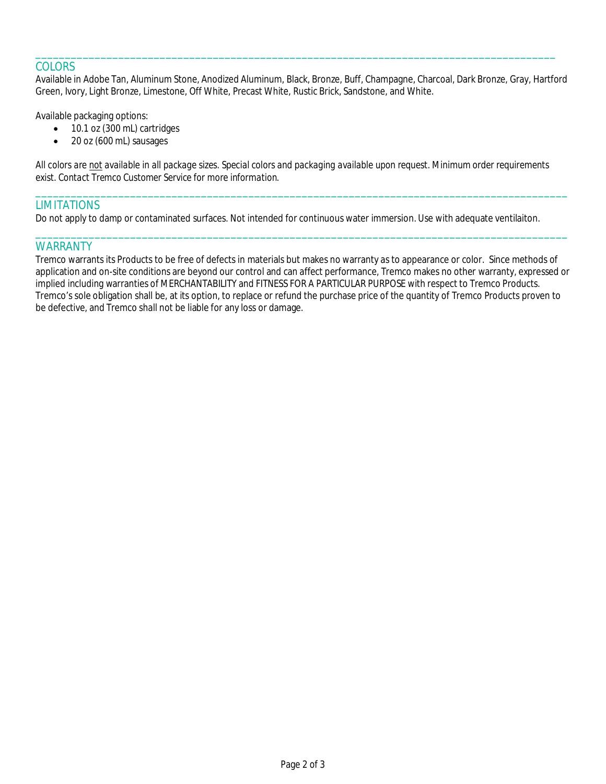## **COLORS**

Available in Adobe Tan, Aluminum Stone, Anodized Aluminum, Black, Bronze, Buff, Champagne, Charcoal, Dark Bronze, Gray, Hartford Green, Ivory, Light Bronze, Limestone, Off White, Precast White, Rustic Brick, Sandstone, and White.

\_\_\_\_\_\_\_\_\_\_\_\_\_\_\_\_\_\_\_\_\_\_\_\_\_\_\_\_\_\_\_\_\_\_\_\_\_\_\_\_\_\_\_\_\_\_\_\_\_\_\_\_\_\_\_\_\_\_\_\_\_\_\_\_\_\_\_\_\_\_\_\_\_\_\_\_\_\_\_\_\_\_\_\_\_\_\_\_

Available packaging options:

- 10.1 oz (300 mL) cartridges
- 20 oz (600 mL) sausages

*All colors are not available in all package sizes. Special colors and packaging available upon request. Minimum order requirements exist. Contact Tremco Customer Service for more information.*

\_\_\_\_\_\_\_\_\_\_\_\_\_\_\_\_\_\_\_\_\_\_\_\_\_\_\_\_\_\_\_\_\_\_\_\_\_\_\_\_\_\_\_\_\_\_\_\_\_\_\_\_\_\_\_\_\_\_\_\_\_\_\_\_\_\_\_\_\_\_\_\_\_\_\_\_\_\_\_\_\_\_\_\_\_\_\_\_\_\_

\_\_\_\_\_\_\_\_\_\_\_\_\_\_\_\_\_\_\_\_\_\_\_\_\_\_\_\_\_\_\_\_\_\_\_\_\_\_\_\_\_\_\_\_\_\_\_\_\_\_\_\_\_\_\_\_\_\_\_\_\_\_\_\_\_\_\_\_\_\_\_\_\_\_\_\_\_\_\_\_\_\_\_\_\_\_\_\_\_\_

## **LIMITATIONS**

Do not apply to damp or contaminated surfaces. Not intended for continuous water immersion. Use with adequate ventilaiton.

### **WARRANTY**

Tremco warrants its Products to be free of defects in materials but makes no warranty as to appearance or color. Since methods of application and on-site conditions are beyond our control and can affect performance, Tremco makes no other warranty, expressed or implied including warranties of MERCHANTABILITY and FITNESS FOR A PARTICULAR PURPOSE with respect to Tremco Products. Tremco's sole obligation shall be, at its option, to replace or refund the purchase price of the quantity of Tremco Products proven to be defective, and Tremco shall not be liable for any loss or damage.